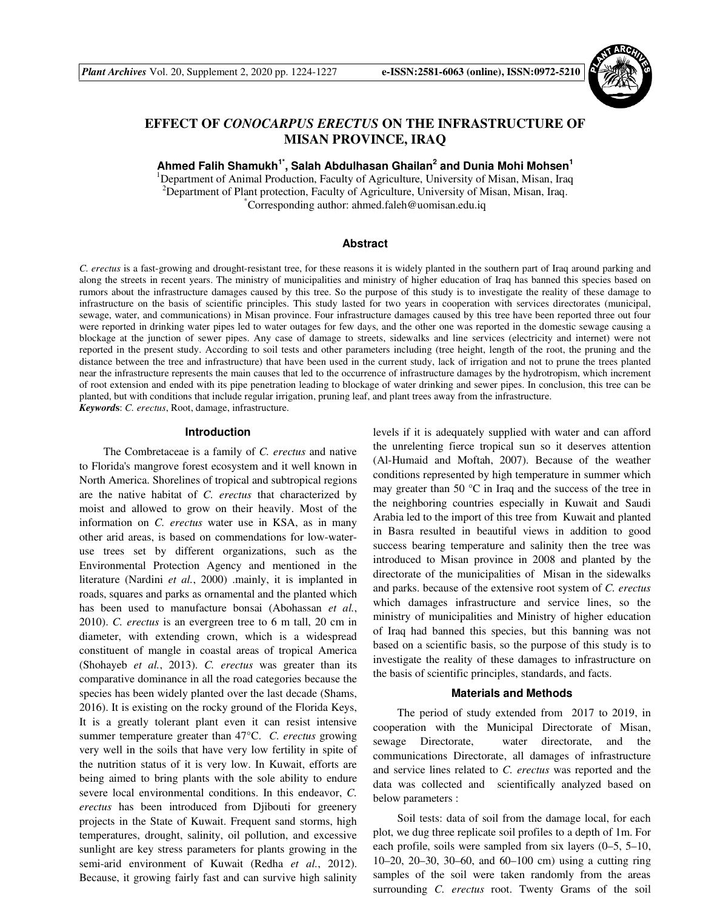

# **EFFECT OF** *CONOCARPUS ERECTUS* **ON THE INFRASTRUCTURE OF MISAN PROVINCE, IRAQ**

**Ahmed Falih Shamukh1\*, Salah Abdulhasan Ghailan<sup>2</sup> and Dunia Mohi Mohsen<sup>1</sup>**

<sup>1</sup>Department of Animal Production, Faculty of Agriculture, University of Misan, Misan, Iraq <sup>2</sup>Department of Plant protection, Faculty of Agriculture, University of Misan, Misan, Iraq. \*Corresponding author: ahmed.faleh@uomisan.edu.iq

## **Abstract**

*C. erectus* is a fast-growing and drought-resistant tree, for these reasons it is widely planted in the southern part of Iraq around parking and along the streets in recent years. The ministry of municipalities and ministry of higher education of Iraq has banned this species based on rumors about the infrastructure damages caused by this tree. So the purpose of this study is to investigate the reality of these damage to infrastructure on the basis of scientific principles. This study lasted for two years in cooperation with services directorates (municipal, sewage, water, and communications) in Misan province. Four infrastructure damages caused by this tree have been reported three out four were reported in drinking water pipes led to water outages for few days, and the other one was reported in the domestic sewage causing a blockage at the junction of sewer pipes. Any case of damage to streets, sidewalks and line services (electricity and internet) were not reported in the present study. According to soil tests and other parameters including (tree height, length of the root, the pruning and the distance between the tree and infrastructure) that have been used in the current study, lack of irrigation and not to prune the trees planted near the infrastructure represents the main causes that led to the occurrence of infrastructure damages by the hydrotropism, which increment of root extension and ended with its pipe penetration leading to blockage of water drinking and sewer pipes. In conclusion, this tree can be planted, but with conditions that include regular irrigation, pruning leaf, and plant trees away from the infrastructure. *Keyword***s**: *C. erectus*, Root, damage, infrastructure.

#### **Introduction**

The Combretaceae is a family of *C. erectus* and native to Florida's mangrove forest ecosystem and it well known in North America. Shorelines of tropical and subtropical regions are the native habitat of *C. erectus* that characterized by moist and allowed to grow on their heavily. Most of the information on *C. erectus* water use in KSA, as in many other arid areas, is based on commendations for low-wateruse trees set by different organizations, such as the Environmental Protection Agency and mentioned in the literature (Nardini *et al.*, 2000) .mainly, it is implanted in roads, squares and parks as ornamental and the planted which has been used to manufacture bonsai (Abohassan *et al.*, 2010). *C. erectus* is an evergreen tree to 6 m tall, 20 cm in diameter, with extending crown, which is a widespread constituent of mangle in coastal areas of tropical America (Shohayeb *et al.*, 2013). *C. erectus* was greater than its comparative dominance in all the road categories because the species has been widely planted over the last decade (Shams, 2016). It is existing on the rocky ground of the Florida Keys, It is a greatly tolerant plant even it can resist intensive summer temperature greater than 47°C. *C. erectus* growing very well in the soils that have very low fertility in spite of the nutrition status of it is very low. In Kuwait, efforts are being aimed to bring plants with the sole ability to endure severe local environmental conditions. In this endeavor, *C. erectus* has been introduced from Djibouti for greenery projects in the State of Kuwait. Frequent sand storms, high temperatures, drought, salinity, oil pollution, and excessive sunlight are key stress parameters for plants growing in the semi-arid environment of Kuwait (Redha *et al.*, 2012). Because, it growing fairly fast and can survive high salinity levels if it is adequately supplied with water and can afford the unrelenting fierce tropical sun so it deserves attention (Al-Humaid and Moftah, 2007). Because of the weather conditions represented by high temperature in summer which may greater than 50 °C in Iraq and the success of the tree in the neighboring countries especially in Kuwait and Saudi Arabia led to the import of this tree from Kuwait and planted in Basra resulted in beautiful views in addition to good success bearing temperature and salinity then the tree was introduced to Misan province in 2008 and planted by the directorate of the municipalities of Misan in the sidewalks and parks. because of the extensive root system of *C. erectus* which damages infrastructure and service lines, so the ministry of municipalities and Ministry of higher education of Iraq had banned this species, but this banning was not based on a scientific basis, so the purpose of this study is to investigate the reality of these damages to infrastructure on the basis of scientific principles, standards, and facts.

#### **Materials and Methods**

The period of study extended from 2017 to 2019, in cooperation with the Municipal Directorate of Misan, sewage Directorate, water directorate, and the communications Directorate, all damages of infrastructure and service lines related to *C. erectus* was reported and the data was collected and scientifically analyzed based on below parameters :

Soil tests: data of soil from the damage local, for each plot, we dug three replicate soil profiles to a depth of 1m. For each profile, soils were sampled from six layers (0–5, 5–10, 10–20, 20–30, 30–60, and 60–100 cm) using a cutting ring samples of the soil were taken randomly from the areas surrounding *C. erectus* root. Twenty Grams of the soil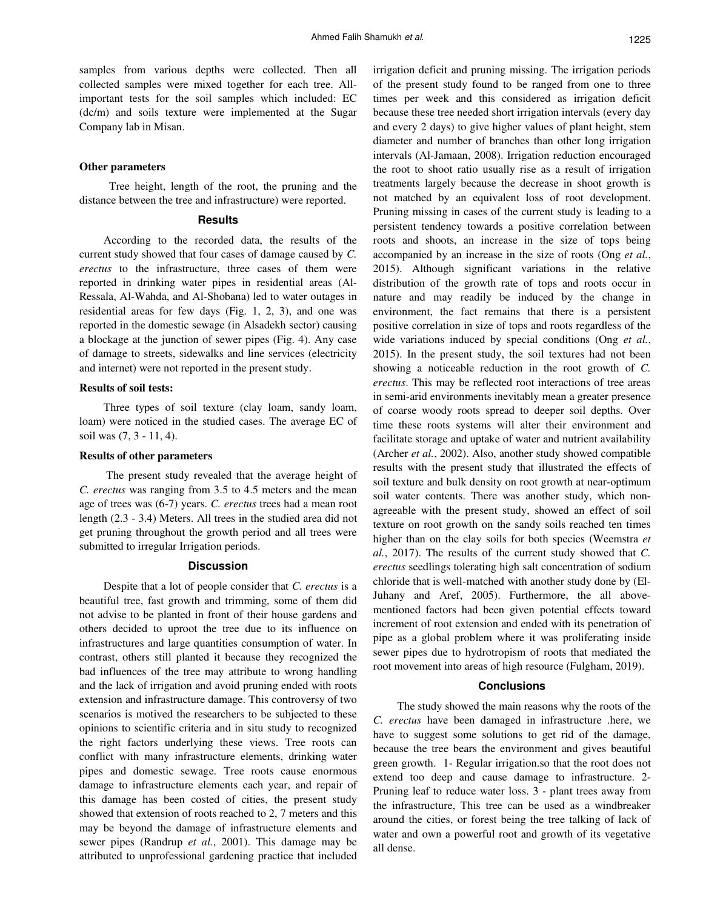samples from various depths were collected. Then all collected samples were mixed together for each tree. Allimportant tests for the soil samples which included: EC (dc/m) and soils texture were implemented at the Sugar Company lab in Misan.

### **Other parameters**

 Tree height, length of the root, the pruning and the distance between the tree and infrastructure) were reported.

# **Results**

According to the recorded data, the results of the current study showed that four cases of damage caused by *C. erectus* to the infrastructure, three cases of them were reported in drinking water pipes in residential areas (Al-Ressala, Al-Wahda, and Al-Shobana) led to water outages in residential areas for few days (Fig. 1, 2, 3), and one was reported in the domestic sewage (in Alsadekh sector) causing a blockage at the junction of sewer pipes (Fig. 4). Any case of damage to streets, sidewalks and line services (electricity and internet) were not reported in the present study.

# **Results of soil tests:**

Three types of soil texture (clay loam, sandy loam, loam) were noticed in the studied cases. The average EC of soil was (7, 3 - 11, 4).

#### **Results of other parameters**

 The present study revealed that the average height of *C. erectus* was ranging from 3.5 to 4.5 meters and the mean age of trees was (6-7) years. *C. erectus* trees had a mean root length (2.3 - 3.4) Meters. All trees in the studied area did not get pruning throughout the growth period and all trees were submitted to irregular Irrigation periods.

# **Discussion**

Despite that a lot of people consider that *C. erectus* is a beautiful tree, fast growth and trimming, some of them did not advise to be planted in front of their house gardens and others decided to uproot the tree due to its influence on infrastructures and large quantities consumption of water. In contrast, others still planted it because they recognized the bad influences of the tree may attribute to wrong handling and the lack of irrigation and avoid pruning ended with roots extension and infrastructure damage. This controversy of two scenarios is motived the researchers to be subjected to these opinions to scientific criteria and in situ study to recognized the right factors underlying these views. Tree roots can conflict with many infrastructure elements, drinking water pipes and domestic sewage. Tree roots cause enormous damage to infrastructure elements each year, and repair of this damage has been costed of cities, the present study showed that extension of roots reached to 2, 7 meters and this may be beyond the damage of infrastructure elements and sewer pipes (Randrup *et al.*, 2001). This damage may be attributed to unprofessional gardening practice that included irrigation deficit and pruning missing. The irrigation periods of the present study found to be ranged from one to three times per week and this considered as irrigation deficit because these tree needed short irrigation intervals (every day and every 2 days) to give higher values of plant height, stem diameter and number of branches than other long irrigation intervals (Al-Jamaan, 2008). Irrigation reduction encouraged the root to shoot ratio usually rise as a result of irrigation treatments largely because the decrease in shoot growth is not matched by an equivalent loss of root development. Pruning missing in cases of the current study is leading to a persistent tendency towards a positive correlation between roots and shoots, an increase in the size of tops being accompanied by an increase in the size of roots (Ong *et al.*, 2015). Although significant variations in the relative distribution of the growth rate of tops and roots occur in nature and may readily be induced by the change in environment, the fact remains that there is a persistent positive correlation in size of tops and roots regardless of the wide variations induced by special conditions (Ong *et al.*, 2015). In the present study, the soil textures had not been showing a noticeable reduction in the root growth of *C. erectus*. This may be reflected root interactions of tree areas in semi-arid environments inevitably mean a greater presence of coarse woody roots spread to deeper soil depths. Over time these roots systems will alter their environment and facilitate storage and uptake of water and nutrient availability (Archer *et al.*, 2002). Also, another study showed compatible results with the present study that illustrated the effects of soil texture and bulk density on root growth at near-optimum soil water contents. There was another study, which nonagreeable with the present study, showed an effect of soil texture on root growth on the sandy soils reached ten times higher than on the clay soils for both species (Weemstra *et al.*, 2017). The results of the current study showed that *C. erectus* seedlings tolerating high salt concentration of sodium chloride that is well-matched with another study done by (El-Juhany and Aref, 2005). Furthermore, the all abovementioned factors had been given potential effects toward increment of root extension and ended with its penetration of pipe as a global problem where it was proliferating inside sewer pipes due to hydrotropism of roots that mediated the root movement into areas of high resource (Fulgham, 2019).

#### **Conclusions**

The study showed the main reasons why the roots of the *C. erectus* have been damaged in infrastructure .here, we have to suggest some solutions to get rid of the damage, because the tree bears the environment and gives beautiful green growth. 1- Regular irrigation.so that the root does not extend too deep and cause damage to infrastructure. 2- Pruning leaf to reduce water loss. 3 - plant trees away from the infrastructure, This tree can be used as a windbreaker around the cities, or forest being the tree talking of lack of water and own a powerful root and growth of its vegetative all dense.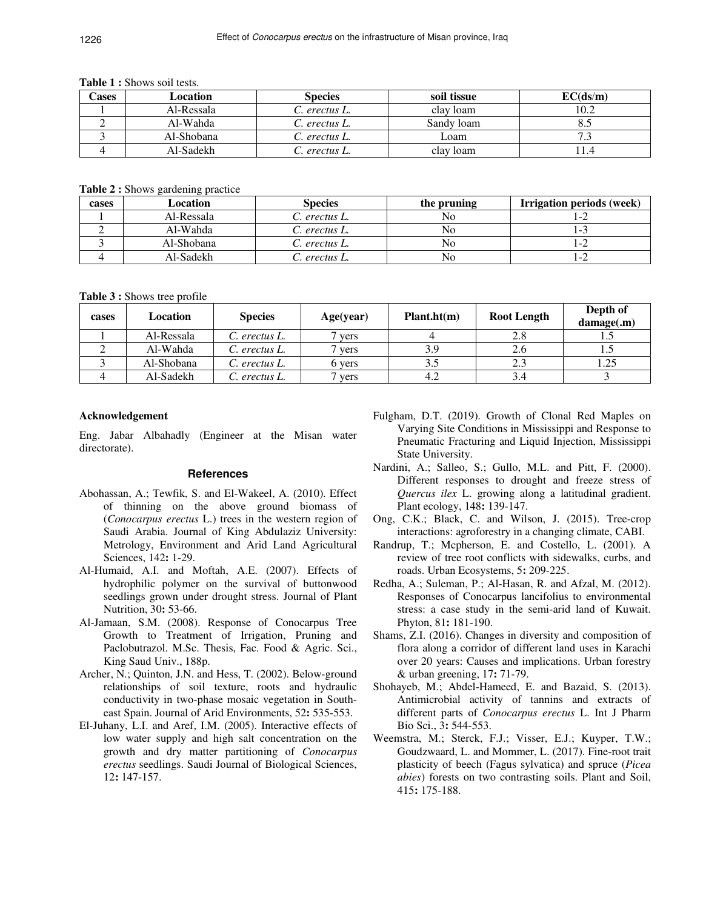#### **Table 1 :** Shows soil tests.

| Cases | Location   | <b>Species</b>       | soil tissue | EC(ds/m) |
|-------|------------|----------------------|-------------|----------|
|       | Al-Ressala | C. erectus L.        | clay loam   | 10.2     |
|       | Al-Wahda   | C. erectus L.        | Sandy loam  | 8.5      |
|       | Al-Shobana | C. erectus L.        | Loam        | 72       |
|       | Al-Sadekh  | <i>C. erectus L.</i> | clav loam   |          |

**Table 2 :** Shows gardening practice

| cases | Location   | <b>Species</b> | the pruning | Irrigation periods (week) |
|-------|------------|----------------|-------------|---------------------------|
|       | Al-Ressala | C. erectus L.  | No          | $-2$                      |
|       | Al-Wahda   | C. erectus L.  | No.         | i – 1                     |
|       | Al-Shobana | C. erectus L.  | No          | ' – 2                     |
|       | Al-Sadekh  | erectus L.     | No          | ' –∠                      |

**Table 3 :** Shows tree profile

| cases | Location   | <b>Species</b> | Age(year) | Plant.ht(m) | <b>Root Length</b> | Depth of<br>damage(m) |
|-------|------------|----------------|-----------|-------------|--------------------|-----------------------|
|       | Al-Ressala | C. erectus L.  | vers      |             | 2.8                |                       |
|       | Al-Wahda   | C. erectus L.  | vers      | 3.9         | 2.6                |                       |
|       | Al-Shobana | C. erectus L.  | 6 vers    | 3.5         | 2.3                | 1.25                  |
|       | Al-Sadekh  | C. erectus L.  | vers      | 4.2         | 3.4                |                       |

## **Acknowledgement**

Eng. Jabar Albahadly (Engineer at the Misan water directorate).

## **References**

- Abohassan, A.; Tewfik, S. and El-Wakeel, A. (2010). Effect of thinning on the above ground biomass of (*Conocarpus erectus* L.) trees in the western region of Saudi Arabia. Journal of King Abdulaziz University: Metrology, Environment and Arid Land Agricultural Sciences, 142**:** 1-29.
- Al-Humaid, A.I. and Moftah, A.E. (2007). Effects of hydrophilic polymer on the survival of buttonwood seedlings grown under drought stress. Journal of Plant Nutrition, 30**:** 53-66.
- Al-Jamaan, S.M. (2008). Response of Conocarpus Tree Growth to Treatment of Irrigation, Pruning and Paclobutrazol. M.Sc. Thesis, Fac. Food & Agric. Sci., King Saud Univ., 188p.
- Archer, N.; Quinton, J.N. and Hess, T. (2002). Below-ground relationships of soil texture, roots and hydraulic conductivity in two-phase mosaic vegetation in Southeast Spain. Journal of Arid Environments, 52**:** 535-553.
- El-Juhany, L.I. and Aref, I.M. (2005). Interactive effects of low water supply and high salt concentration on the growth and dry matter partitioning of *Conocarpus erectus* seedlings. Saudi Journal of Biological Sciences, 12**:** 147-157.
- Fulgham, D.T. (2019). Growth of Clonal Red Maples on Varying Site Conditions in Mississippi and Response to Pneumatic Fracturing and Liquid Injection, Mississippi State University.
- Nardini, A.; Salleo, S.; Gullo, M.L. and Pitt, F. (2000). Different responses to drought and freeze stress of *Quercus ilex* L. growing along a latitudinal gradient. Plant ecology, 148**:** 139-147.
- Ong, C.K.; Black, C. and Wilson, J. (2015). Tree-crop interactions: agroforestry in a changing climate, CABI.
- Randrup, T.; Mcpherson, E. and Costello, L. (2001). A review of tree root conflicts with sidewalks, curbs, and roads. Urban Ecosystems, 5**:** 209-225.
- Redha, A.; Suleman, P.; Al-Hasan, R. and Afzal, M. (2012). Responses of Conocarpus lancifolius to environmental stress: a case study in the semi-arid land of Kuwait. Phyton, 81**:** 181-190.
- Shams, Z.I. (2016). Changes in diversity and composition of flora along a corridor of different land uses in Karachi over 20 years: Causes and implications. Urban forestry & urban greening, 17**:** 71-79.
- Shohayeb, M.; Abdel-Hameed, E. and Bazaid, S. (2013). Antimicrobial activity of tannins and extracts of different parts of *Conocarpus erectus* L. Int J Pharm Bio Sci., 3**:** 544-553.
- Weemstra, M.; Sterck, F.J.; Visser, E.J.; Kuyper, T.W.; Goudzwaard, L. and Mommer, L. (2017). Fine-root trait plasticity of beech (Fagus sylvatica) and spruce (*Picea abies*) forests on two contrasting soils. Plant and Soil, 415**:** 175-188.